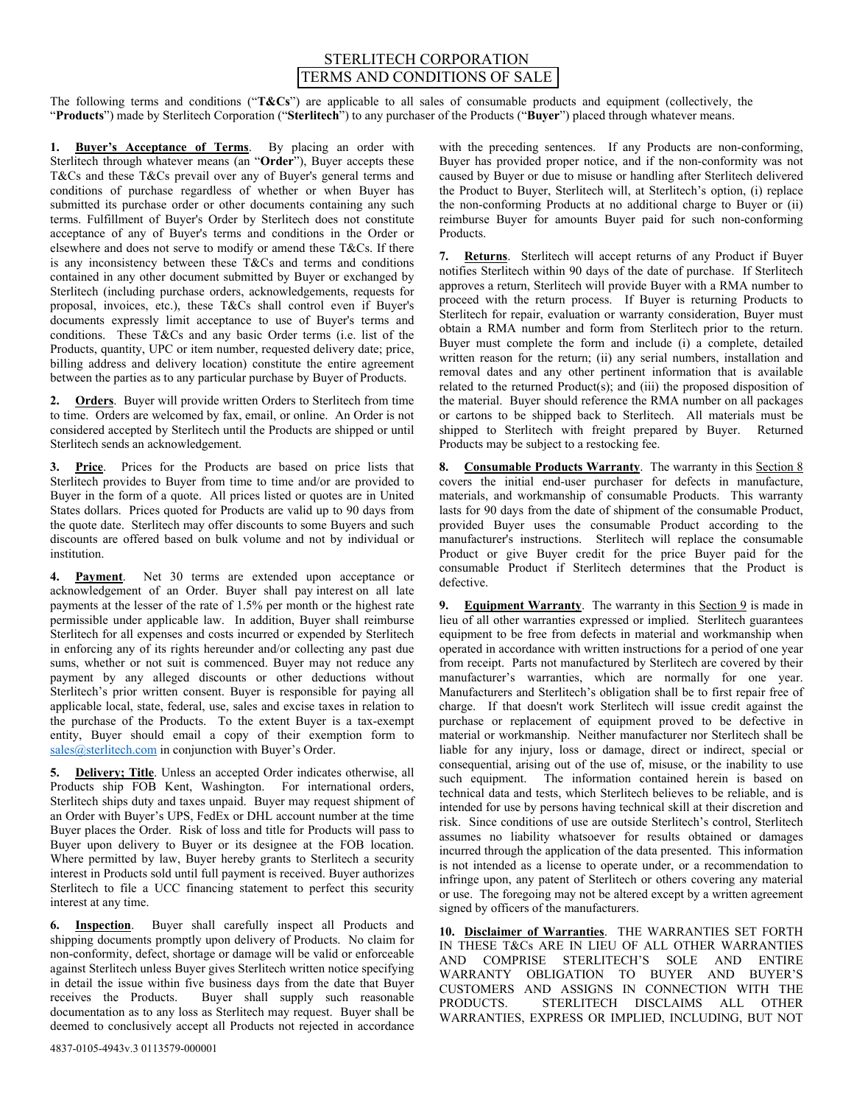## STERLITECH CORPORATION [TERMS AND CONDITIONS OF SALE](https://www.sterlitech.com/terms_and_conditions)

The following terms and conditions ("**T&Cs**") are applicable to all sales of consumable products and equipment (collectively, the "**Products**") made by Sterlitech Corporation ("**Sterlitech**") to any purchaser of the Products ("**Buyer**") placed through whatever means.

**1. Buyer's Acceptance of Terms**. By placing an order with Sterlitech through whatever means (an "**Order**"), Buyer accepts these T&Cs and these T&Cs prevail over any of Buyer's general terms and conditions of purchase regardless of whether or when Buyer has submitted its purchase order or other documents containing any such terms. Fulfillment of Buyer's Order by Sterlitech does not constitute acceptance of any of Buyer's terms and conditions in the Order or elsewhere and does not serve to modify or amend these T&Cs. If there is any inconsistency between these T&Cs and terms and conditions contained in any other document submitted by Buyer or exchanged by Sterlitech (including purchase orders, acknowledgements, requests for proposal, invoices, etc.), these T&Cs shall control even if Buyer's documents expressly limit acceptance to use of Buyer's terms and conditions. These T&Cs and any basic Order terms (i.e. list of the Products, quantity, UPC or item number, requested delivery date; price, billing address and delivery location) constitute the entire agreement between the parties as to any particular purchase by Buyer of Products.

**2. Orders**. Buyer will provide written Orders to Sterlitech from time to time. Orders are welcomed by fax, email, or online. An Order is not considered accepted by Sterlitech until the Products are shipped or until Sterlitech sends an acknowledgement.

**3. Price**. Prices for the Products are based on price lists that Sterlitech provides to Buyer from time to time and/or are provided to Buyer in the form of a quote. All prices listed or quotes are in United States dollars. Prices quoted for Products are valid up to 90 days from the quote date. Sterlitech may offer discounts to some Buyers and such discounts are offered based on bulk volume and not by individual or institution.

**4. Payment**. Net 30 terms are extended upon acceptance or acknowledgement of an Order. Buyer shall pay interest on all late payments at the lesser of the rate of 1.5% per month or the highest rate permissible under applicable law. In addition, Buyer shall reimburse Sterlitech for all expenses and costs incurred or expended by Sterlitech in enforcing any of its rights hereunder and/or collecting any past due sums, whether or not suit is commenced. Buyer may not reduce any payment by any alleged discounts or other deductions without Sterlitech's prior written consent. Buyer is responsible for paying all applicable local, state, federal, use, sales and excise taxes in relation to the purchase of the Products. To the extent Buyer is a tax-exempt entity, Buyer should email a copy of their exemption form to [sales@sterlitech.com](mailto:sales@sterlitech.com) in conjunction with Buyer's Order.

**5. Delivery; Title**. Unless an accepted Order indicates otherwise, all Products ship FOB Kent, Washington. For international orders, Sterlitech ships duty and taxes unpaid. Buyer may request shipment of an Order with Buyer's UPS, FedEx or DHL account number at the time Buyer places the Order. Risk of loss and title for Products will pass to Buyer upon delivery to Buyer or its designee at the FOB location. Where permitted by law, Buyer hereby grants to Sterlitech a security interest in Products sold until full payment is received. Buyer authorizes Sterlitech to file a UCC financing statement to perfect this security interest at any time.

**6. Inspection**. Buyer shall carefully inspect all Products and shipping documents promptly upon delivery of Products. No claim for non-conformity, defect, shortage or damage will be valid or enforceable against Sterlitech unless Buyer gives Sterlitech written notice specifying in detail the issue within five business days from the date that Buyer receives the Products. Buyer shall supply such reasonable Buyer shall supply such reasonable documentation as to any loss as Sterlitech may request. Buyer shall be deemed to conclusively accept all Products not rejected in accordance

with the preceding sentences. If any Products are non-conforming, Buyer has provided proper notice, and if the non-conformity was not caused by Buyer or due to misuse or handling after Sterlitech delivered the Product to Buyer, Sterlitech will, at Sterlitech's option, (i) replace the non-conforming Products at no additional charge to Buyer or (ii) reimburse Buyer for amounts Buyer paid for such non-conforming Products.

**7. Returns**. Sterlitech will accept returns of any Product if Buyer notifies Sterlitech within 90 days of the date of purchase. If Sterlitech approves a return, Sterlitech will provide Buyer with a RMA number to proceed with the return process. If Buyer is returning Products to Sterlitech for repair, evaluation or warranty consideration, Buyer must obtain a RMA number and form from Sterlitech prior to the return. Buyer must complete the form and include (i) a complete, detailed written reason for the return; (ii) any serial numbers, installation and removal dates and any other pertinent information that is available related to the returned Product(s); and (iii) the proposed disposition of the material. Buyer should reference the RMA number on all packages or cartons to be shipped back to Sterlitech. All materials must be shipped to Sterlitech with freight prepared by Buyer. Returned Products may be subject to a restocking fee.

**8. Consumable Products Warranty**. The warranty in this Section 8 covers the initial end-user purchaser for defects in manufacture, materials, and workmanship of consumable Products. This warranty lasts for 90 days from the date of shipment of the consumable Product, provided Buyer uses the consumable Product according to the manufacturer's instructions. Sterlitech will replace the consumable Product or give Buyer credit for the price Buyer paid for the consumable Product if Sterlitech determines that the Product is defective.

**9. Equipment Warranty**. The warranty in this Section 9 is made in lieu of all other warranties expressed or implied. Sterlitech guarantees equipment to be free from defects in material and workmanship when operated in accordance with written instructions for a period of one year from receipt. Parts not manufactured by Sterlitech are covered by their manufacturer's warranties, which are normally for one year. Manufacturers and Sterlitech's obligation shall be to first repair free of charge. If that doesn't work Sterlitech will issue credit against the purchase or replacement of equipment proved to be defective in material or workmanship. Neither manufacturer nor Sterlitech shall be liable for any injury, loss or damage, direct or indirect, special or consequential, arising out of the use of, misuse, or the inability to use such equipment. The information contained herein is based on technical data and tests, which Sterlitech believes to be reliable, and is intended for use by persons having technical skill at their discretion and risk. Since conditions of use are outside Sterlitech's control, Sterlitech assumes no liability whatsoever for results obtained or damages incurred through the application of the data presented. This information is not intended as a license to operate under, or a recommendation to infringe upon, any patent of Sterlitech or others covering any material or use. The foregoing may not be altered except by a written agreement signed by officers of the manufacturers.

**10. Disclaimer of Warranties**. THE WARRANTIES SET FORTH IN THESE T&Cs ARE IN LIEU OF ALL OTHER WARRANTIES AND COMPRISE STERLITECH'S SOLE AND ENTIRE WARRANTY OBLIGATION TO BUYER AND BUYER'S CUSTOMERS AND ASSIGNS IN CONNECTION WITH THE PRODUCTS. STERLITECH DISCLAIMS ALL OTHER STERLITECH DISCLAIMS ALL OTHER WARRANTIES, EXPRESS OR IMPLIED, INCLUDING, BUT NOT